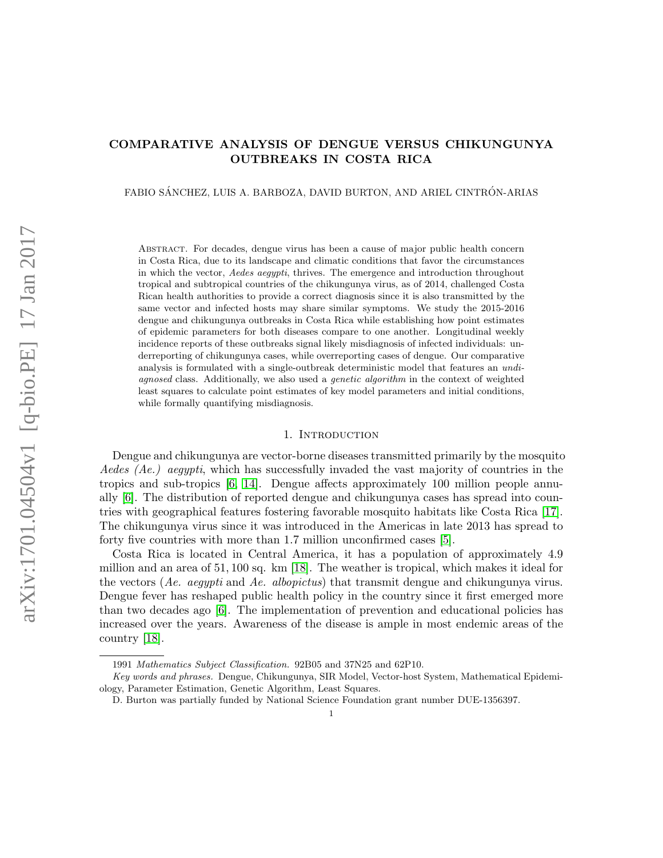# COMPARATIVE ANALYSIS OF DENGUE VERSUS CHIKUNGUNYA OUTBREAKS IN COSTA RICA

FABIO SÁNCHEZ, LUIS A. BARBOZA, DAVID BURTON, AND ARIEL CINTRÓN-ARIAS

Abstract. For decades, dengue virus has been a cause of major public health concern in Costa Rica, due to its landscape and climatic conditions that favor the circumstances in which the vector, Aedes aegypti, thrives. The emergence and introduction throughout tropical and subtropical countries of the chikungunya virus, as of 2014, challenged Costa Rican health authorities to provide a correct diagnosis since it is also transmitted by the same vector and infected hosts may share similar symptoms. We study the 2015-2016 dengue and chikungunya outbreaks in Costa Rica while establishing how point estimates of epidemic parameters for both diseases compare to one another. Longitudinal weekly incidence reports of these outbreaks signal likely misdiagnosis of infected individuals: underreporting of chikungunya cases, while overreporting cases of dengue. Our comparative analysis is formulated with a single-outbreak deterministic model that features an undiagnosed class. Additionally, we also used a *genetic algorithm* in the context of weighted least squares to calculate point estimates of key model parameters and initial conditions, while formally quantifying misdiagnosis.

# 1. INTRODUCTION

Dengue and chikungunya are vector-borne diseases transmitted primarily by the mosquito Aedes (Ae.) aegypti, which has successfully invaded the vast majority of countries in the tropics and sub-tropics [\[6,](#page-10-0) [14\]](#page-10-1). Dengue affects approximately 100 million people annually [\[6\]](#page-10-0). The distribution of reported dengue and chikungunya cases has spread into countries with geographical features fostering favorable mosquito habitats like Costa Rica [\[17\]](#page-10-2). The chikungunya virus since it was introduced in the Americas in late 2013 has spread to forty five countries with more than 1.7 million unconfirmed cases [\[5\]](#page-10-3).

Costa Rica is located in Central America, it has a population of approximately 4.9 million and an area of 51, 100 sq. km [\[18\]](#page-10-4). The weather is tropical, which makes it ideal for the vectors (Ae. aegypti and Ae. albopictus) that transmit dengue and chikungunya virus. Dengue fever has reshaped public health policy in the country since it first emerged more than two decades ago [\[6\]](#page-10-0). The implementation of prevention and educational policies has increased over the years. Awareness of the disease is ample in most endemic areas of the country [\[18\]](#page-10-4).

<sup>1991</sup> Mathematics Subject Classification. 92B05 and 37N25 and 62P10.

Key words and phrases. Dengue, Chikungunya, SIR Model, Vector-host System, Mathematical Epidemiology, Parameter Estimation, Genetic Algorithm, Least Squares.

D. Burton was partially funded by National Science Foundation grant number DUE-1356397.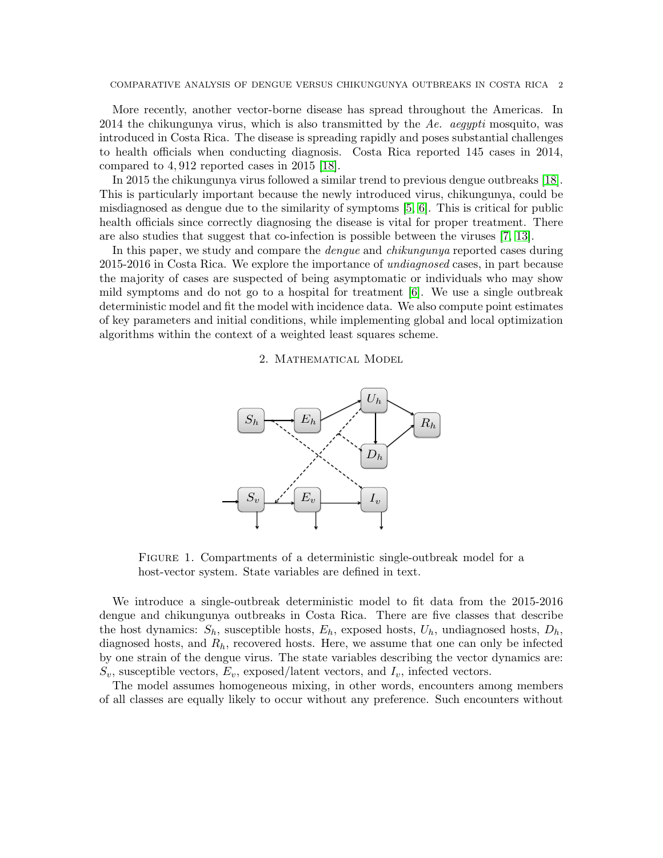COMPARATIVE ANALYSIS OF DENGUE VERSUS CHIKUNGUNYA OUTBREAKS IN COSTA RICA 2

More recently, another vector-borne disease has spread throughout the Americas. In 2014 the chikungunya virus, which is also transmitted by the Ae. aegypti mosquito, was introduced in Costa Rica. The disease is spreading rapidly and poses substantial challenges to health officials when conducting diagnosis. Costa Rica reported 145 cases in 2014, compared to 4, 912 reported cases in 2015 [\[18\]](#page-10-4).

In 2015 the chikungunya virus followed a similar trend to previous dengue outbreaks [\[18\]](#page-10-4). This is particularly important because the newly introduced virus, chikungunya, could be misdiagnosed as dengue due to the similarity of symptoms [\[5,](#page-10-3) [6\]](#page-10-0). This is critical for public health officials since correctly diagnosing the disease is vital for proper treatment. There are also studies that suggest that co-infection is possible between the viruses [\[7,](#page-10-5) [13\]](#page-10-6).

In this paper, we study and compare the *dengue* and *chikungunya* reported cases during 2015-2016 in Costa Rica. We explore the importance of undiagnosed cases, in part because the majority of cases are suspected of being asymptomatic or individuals who may show mild symptoms and do not go to a hospital for treatment [\[6\]](#page-10-0). We use a single outbreak deterministic model and fit the model with incidence data. We also compute point estimates of key parameters and initial conditions, while implementing global and local optimization algorithms within the context of a weighted least squares scheme.

#### 2. Mathematical Model



FIGURE 1. Compartments of a deterministic single-outbreak model for a host-vector system. State variables are defined in text.

We introduce a single-outbreak deterministic model to fit data from the 2015-2016 dengue and chikungunya outbreaks in Costa Rica. There are five classes that describe the host dynamics:  $S_h$ , susceptible hosts,  $E_h$ , exposed hosts,  $U_h$ , undiagnosed hosts,  $D_h$ , diagnosed hosts, and  $R<sub>h</sub>$ , recovered hosts. Here, we assume that one can only be infected by one strain of the dengue virus. The state variables describing the vector dynamics are:  $S_v$ , susceptible vectors,  $E_v$ , exposed/latent vectors, and  $I_v$ , infected vectors.

The model assumes homogeneous mixing, in other words, encounters among members of all classes are equally likely to occur without any preference. Such encounters without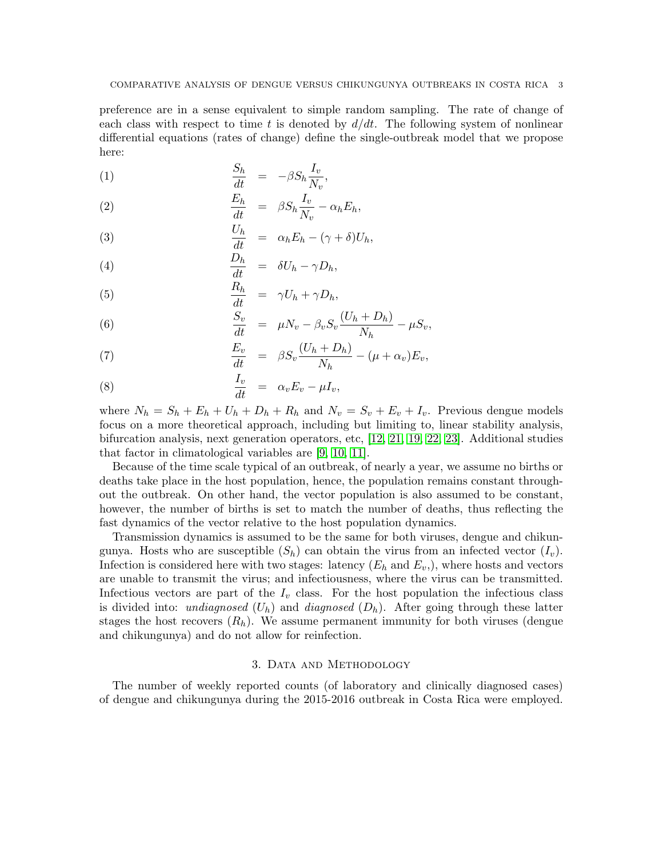preference are in a sense equivalent to simple random sampling. The rate of change of each class with respect to time t is denoted by  $d/dt$ . The following system of nonlinear differential equations (rates of change) define the single-outbreak model that we propose here:

$$
\frac{S_h}{dt} = -\beta S_h \frac{I_v}{N_v},
$$

<span id="page-2-0"></span>(2) 
$$
\frac{E_h}{dt} = \beta S_h \frac{I_v}{N_v} - \alpha_h E_h,
$$

(3) 
$$
\frac{U_h}{dt} = \alpha_h E_h - (\gamma + \delta) U_h,
$$

(4) 
$$
\frac{D_h}{dt} = \delta U_h - \gamma D_h,
$$

(5) 
$$
\frac{R_h}{dt} = \gamma U_h + \gamma D_h,
$$

(6) 
$$
\frac{S_v}{dt} = \mu N_v - \beta_v S_v \frac{(U_h + D_h)}{N_h} - \mu S_v,
$$

(7) 
$$
\frac{E_v}{dt} = \beta S_v \frac{(U_h + D_h)}{N_h} - (\mu + \alpha_v) E_v,
$$

(8) 
$$
\frac{I_v}{dt} = \alpha_v E_v - \mu I_v,
$$

where  $N_h = S_h + E_h + U_h + D_h + R_h$  and  $N_v = S_v + E_v + I_v$ . Previous dengue models focus on a more theoretical approach, including but limiting to, linear stability analysis, bifurcation analysis, next generation operators, etc, [\[12,](#page-10-7) [21,](#page-10-8) [19,](#page-10-9) [22,](#page-10-10) [23\]](#page-10-11). Additional studies that factor in climatological variables are [\[9,](#page-10-12) [10,](#page-10-13) [11\]](#page-10-14).

Because of the time scale typical of an outbreak, of nearly a year, we assume no births or deaths take place in the host population, hence, the population remains constant throughout the outbreak. On other hand, the vector population is also assumed to be constant, however, the number of births is set to match the number of deaths, thus reflecting the fast dynamics of the vector relative to the host population dynamics.

Transmission dynamics is assumed to be the same for both viruses, dengue and chikungunya. Hosts who are susceptible  $(S_h)$  can obtain the virus from an infected vector  $(I_v)$ . Infection is considered here with two stages: latency  $(E_h$  and  $E_v$ ), where hosts and vectors are unable to transmit the virus; and infectiousness, where the virus can be transmitted. Infectious vectors are part of the  $I_v$  class. For the host population the infectious class is divided into: undiagnosed  $(U_h)$  and diagnosed  $(D_h)$ . After going through these latter stages the host recovers  $(R_h)$ . We assume permanent immunity for both viruses (dengue and chikungunya) and do not allow for reinfection.

## 3. Data and Methodology

The number of weekly reported counts (of laboratory and clinically diagnosed cases) of dengue and chikungunya during the 2015-2016 outbreak in Costa Rica were employed.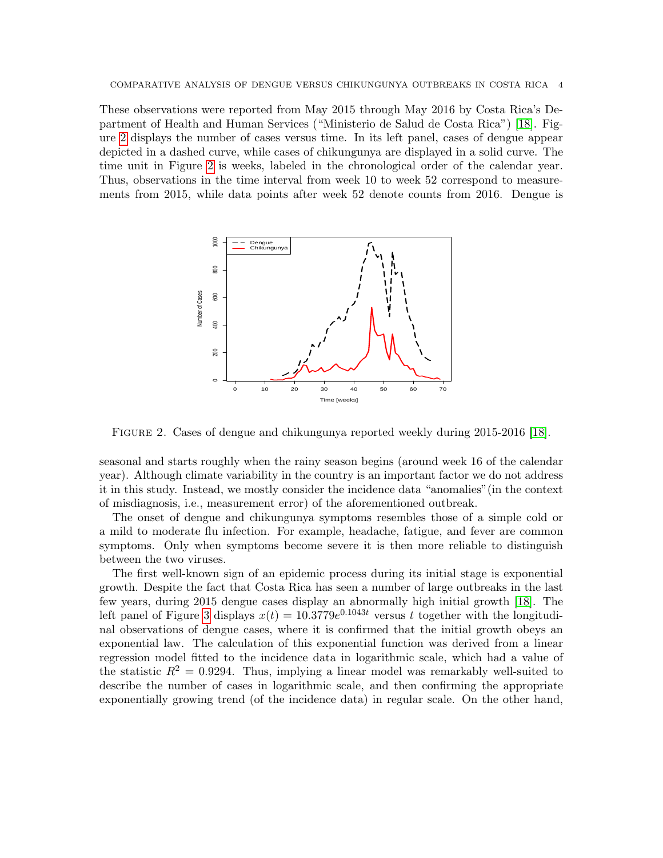These observations were reported from May 2015 through May 2016 by Costa Rica's Department of Health and Human Services ("Ministerio de Salud de Costa Rica") [\[18\]](#page-10-4). Figure [2](#page-3-0) displays the number of cases versus time. In its left panel, cases of dengue appear depicted in a dashed curve, while cases of chikungunya are displayed in a solid curve. The time unit in Figure [2](#page-3-0) is weeks, labeled in the chronological order of the calendar year. Thus, observations in the time interval from week 10 to week 52 correspond to measurements from 2015, while data points after week 52 denote counts from 2016. Dengue is



<span id="page-3-0"></span>Figure 2. Cases of dengue and chikungunya reported weekly during 2015-2016 [\[18\]](#page-10-4).

seasonal and starts roughly when the rainy season begins (around week 16 of the calendar year). Although climate variability in the country is an important factor we do not address it in this study. Instead, we mostly consider the incidence data "anomalies"(in the context of misdiagnosis, i.e., measurement error) of the aforementioned outbreak.

The onset of dengue and chikungunya symptoms resembles those of a simple cold or a mild to moderate flu infection. For example, headache, fatigue, and fever are common symptoms. Only when symptoms become severe it is then more reliable to distinguish between the two viruses.

The first well-known sign of an epidemic process during its initial stage is exponential growth. Despite the fact that Costa Rica has seen a number of large outbreaks in the last few years, during 2015 dengue cases display an abnormally high initial growth [\[18\]](#page-10-4). The left panel of Figure [3](#page-4-0) displays  $x(t) = 10.3779e^{0.1043t}$  versus t together with the longitudinal observations of dengue cases, where it is confirmed that the initial growth obeys an exponential law. The calculation of this exponential function was derived from a linear regression model fitted to the incidence data in logarithmic scale, which had a value of the statistic  $R^2 = 0.9294$ . Thus, implying a linear model was remarkably well-suited to describe the number of cases in logarithmic scale, and then confirming the appropriate exponentially growing trend (of the incidence data) in regular scale. On the other hand,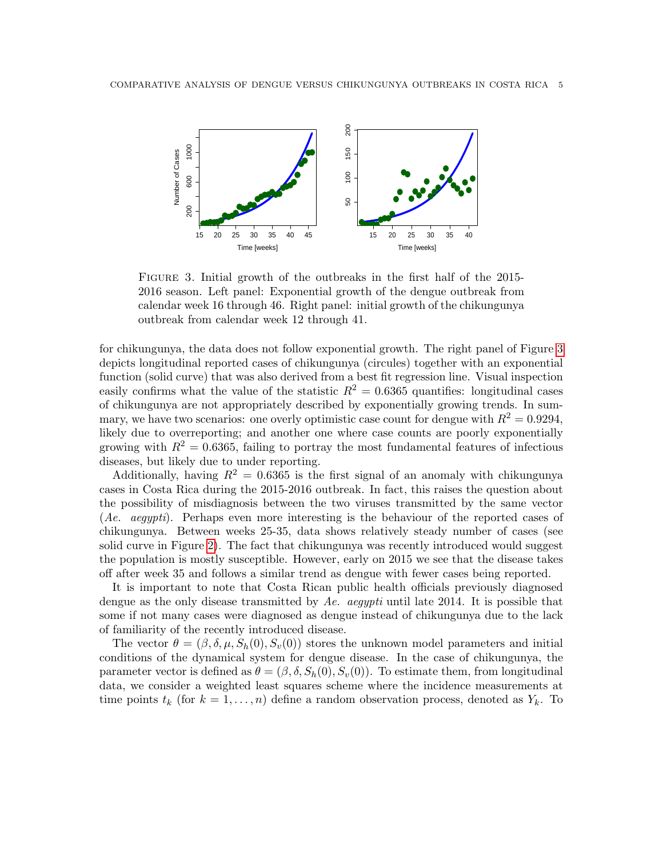

<span id="page-4-0"></span>Figure 3. Initial growth of the outbreaks in the first half of the 2015- 2016 season. Left panel: Exponential growth of the dengue outbreak from calendar week 16 through 46. Right panel: initial growth of the chikungunya outbreak from calendar week 12 through 41.

for chikungunya, the data does not follow exponential growth. The right panel of Figure [3](#page-4-0) depicts longitudinal reported cases of chikungunya (circules) together with an exponential function (solid curve) that was also derived from a best fit regression line. Visual inspection easily confirms what the value of the statistic  $R^2 = 0.6365$  quantifies: longitudinal cases of chikungunya are not appropriately described by exponentially growing trends. In summary, we have two scenarios: one overly optimistic case count for dengue with  $R^2 = 0.9294$ , likely due to overreporting; and another one where case counts are poorly exponentially growing with  $R^2 = 0.6365$ , failing to portray the most fundamental features of infectious diseases, but likely due to under reporting.

Additionally, having  $R^2 = 0.6365$  is the first signal of an anomaly with chikungunya cases in Costa Rica during the 2015-2016 outbreak. In fact, this raises the question about the possibility of misdiagnosis between the two viruses transmitted by the same vector (Ae. aegypti). Perhaps even more interesting is the behaviour of the reported cases of chikungunya. Between weeks 25-35, data shows relatively steady number of cases (see solid curve in Figure [2\)](#page-3-0). The fact that chikungunya was recently introduced would suggest the population is mostly susceptible. However, early on 2015 we see that the disease takes off after week 35 and follows a similar trend as dengue with fewer cases being reported.

It is important to note that Costa Rican public health officials previously diagnosed dengue as the only disease transmitted by Ae. aegypti until late 2014. It is possible that some if not many cases were diagnosed as dengue instead of chikungunya due to the lack of familiarity of the recently introduced disease.

The vector  $\theta = (\beta, \delta, \mu, S_h(0), S_v(0))$  stores the unknown model parameters and initial conditions of the dynamical system for dengue disease. In the case of chikungunya, the parameter vector is defined as  $\theta = (\beta, \delta, S_h(0), S_v(0))$ . To estimate them, from longitudinal data, we consider a weighted least squares scheme where the incidence measurements at time points  $t_k$  (for  $k = 1, \ldots, n$ ) define a random observation process, denoted as  $Y_k$ . To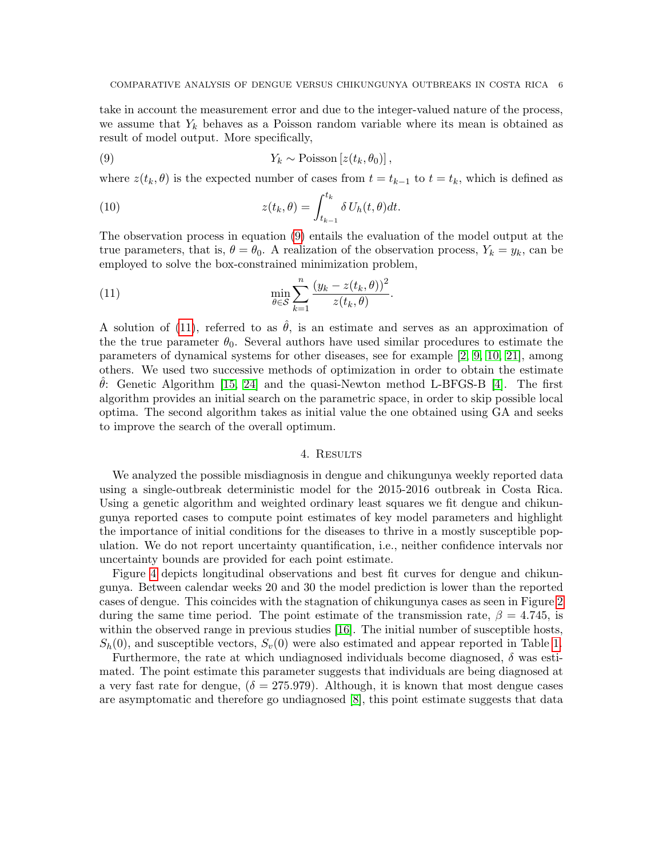take in account the measurement error and due to the integer-valued nature of the process, we assume that  $Y_k$  behaves as a Poisson random variable where its mean is obtained as result of model output. More specifically,

<span id="page-5-0"></span>(9) 
$$
Y_k \sim \text{Poisson}\left[z(t_k, \theta_0)\right],
$$

where  $z(t_k, \theta)$  is the expected number of cases from  $t = t_{k-1}$  to  $t = t_k$ , which is defined as

(10) 
$$
z(t_k, \theta) = \int_{t_{k-1}}^{t_k} \delta U_h(t, \theta) dt.
$$

The observation process in equation [\(9\)](#page-5-0) entails the evaluation of the model output at the true parameters, that is,  $\theta = \theta_0$ . A realization of the observation process,  $Y_k = y_k$ , can be employed to solve the box-constrained minimization problem,

<span id="page-5-1"></span>(11) 
$$
\min_{\theta \in \mathcal{S}} \sum_{k=1}^{n} \frac{(y_k - z(t_k, \theta))^2}{z(t_k, \theta)}.
$$

A solution of [\(11\)](#page-5-1), referred to as  $\hat{\theta}$ , is an estimate and serves as an approximation of the the true parameter  $\theta_0$ . Several authors have used similar procedures to estimate the parameters of dynamical systems for other diseases, see for example [\[2,](#page-9-0) [9,](#page-10-12) [10,](#page-10-13) [21\]](#page-10-8), among others. We used two successive methods of optimization in order to obtain the estimate  $\theta$ : Genetic Algorithm [\[15,](#page-10-15) [24\]](#page-10-16) and the quasi-Newton method L-BFGS-B [\[4\]](#page-9-1). The first algorithm provides an initial search on the parametric space, in order to skip possible local optima. The second algorithm takes as initial value the one obtained using GA and seeks to improve the search of the overall optimum.

#### 4. Results

We analyzed the possible misdiagnosis in dengue and chikungunya weekly reported data using a single-outbreak deterministic model for the 2015-2016 outbreak in Costa Rica. Using a genetic algorithm and weighted ordinary least squares we fit dengue and chikungunya reported cases to compute point estimates of key model parameters and highlight the importance of initial conditions for the diseases to thrive in a mostly susceptible population. We do not report uncertainty quantification, i.e., neither confidence intervals nor uncertainty bounds are provided for each point estimate.

Figure [4](#page-6-0) depicts longitudinal observations and best fit curves for dengue and chikungunya. Between calendar weeks 20 and 30 the model prediction is lower than the reported cases of dengue. This coincides with the stagnation of chikungunya cases as seen in Figure [2](#page-3-0) during the same time period. The point estimate of the transmission rate,  $\beta = 4.745$ , is within the observed range in previous studies [\[16\]](#page-10-17). The initial number of susceptible hosts,  $S_h(0)$ , and susceptible vectors,  $S_v(0)$  were also estimated and appear reported in Table [1.](#page-7-0)

Furthermore, the rate at which undiagnosed individuals become diagnosed,  $\delta$  was estimated. The point estimate this parameter suggests that individuals are being diagnosed at a very fast rate for dengue,  $(\delta = 275.979)$ . Although, it is known that most dengue cases are asymptomatic and therefore go undiagnosed [\[8\]](#page-10-18), this point estimate suggests that data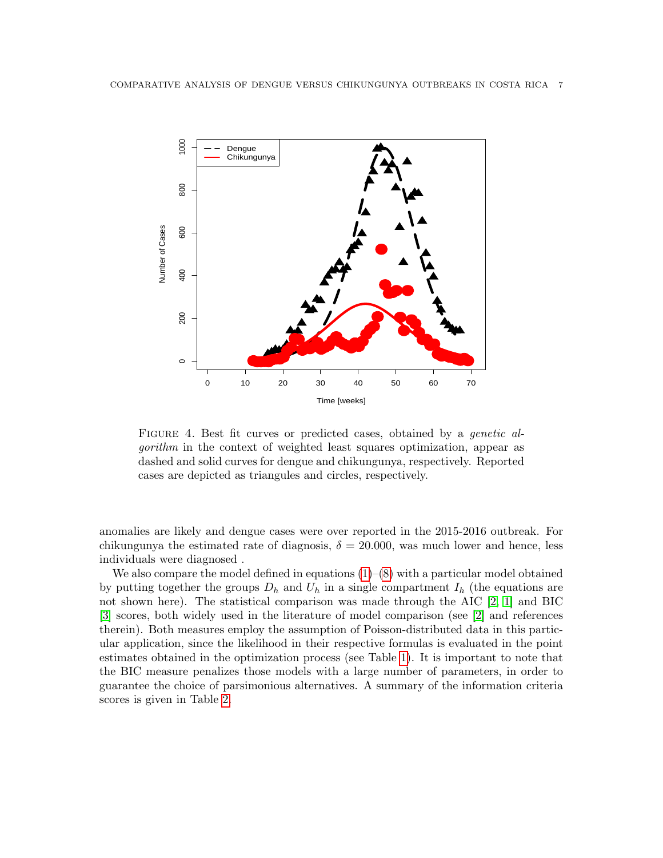

<span id="page-6-0"></span>Figure 4. Best fit curves or predicted cases, obtained by a genetic algorithm in the context of weighted least squares optimization, appear as dashed and solid curves for dengue and chikungunya, respectively. Reported cases are depicted as triangules and circles, respectively.

anomalies are likely and dengue cases were over reported in the 2015-2016 outbreak. For chikungunya the estimated rate of diagnosis,  $\delta = 20.000$ , was much lower and hence, less individuals were diagnosed .

We also compare the model defined in equations  $(1)$ – $(8)$  with a particular model obtained by putting together the groups  $D_h$  and  $U_h$  in a single compartment  $I_h$  (the equations are not shown here). The statistical comparison was made through the AIC [\[2,](#page-9-0) [1\]](#page-9-2) and BIC [\[3\]](#page-9-3) scores, both widely used in the literature of model comparison (see [\[2\]](#page-9-0) and references therein). Both measures employ the assumption of Poisson-distributed data in this particular application, since the likelihood in their respective formulas is evaluated in the point estimates obtained in the optimization process (see Table [1\)](#page-7-0). It is important to note that the BIC measure penalizes those models with a large number of parameters, in order to guarantee the choice of parsimonious alternatives. A summary of the information criteria scores is given in Table [2.](#page-8-0)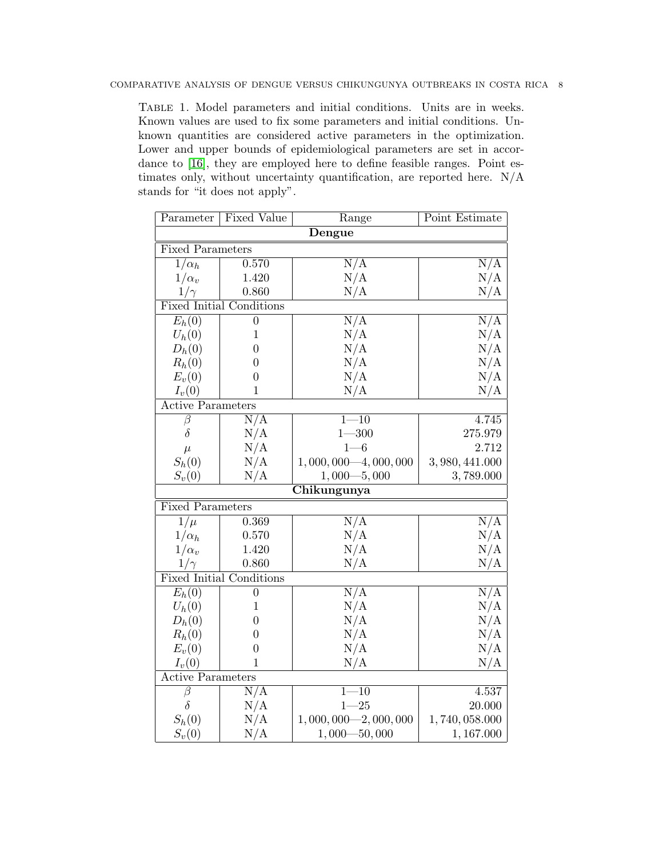<span id="page-7-0"></span>Table 1. Model parameters and initial conditions. Units are in weeks. Known values are used to fix some parameters and initial conditions. Unknown quantities are considered active parameters in the optimization. Lower and upper bounds of epidemiological parameters are set in accordance to [\[16\]](#page-10-17), they are employed here to define feasible ranges. Point estimates only, without uncertainty quantification, are reported here. N/A stands for "it does not apply".

| Parameter                       | Fixed Value      | Range                     | Point Estimate   |  |  |
|---------------------------------|------------------|---------------------------|------------------|--|--|
| Dengue                          |                  |                           |                  |  |  |
| <b>Fixed Parameters</b>         |                  |                           |                  |  |  |
| $1/\alpha_h$                    | 0.570            | N/A                       | N/A              |  |  |
| $1/\alpha_v$                    | 1.420            | N/A                       | N/A              |  |  |
| $1/\gamma$                      | 0.860            | N/A                       | N/A              |  |  |
| <b>Fixed Initial Conditions</b> |                  |                           |                  |  |  |
| $E_h(0)$                        | $\overline{0}$   | N/A                       | N/A              |  |  |
| $U_h(0)$                        | $\mathbf{1}$     | N/A                       | N/A              |  |  |
| $D_h(0)$                        | $\overline{0}$   | N/A                       | N/A              |  |  |
| $R_h(0)$                        | $\overline{0}$   | N/A                       | N/A              |  |  |
| $E_v(0)$                        | $\boldsymbol{0}$ | N/A                       | N/A              |  |  |
| $I_v(0)$                        | 1                | N/A                       | N/A              |  |  |
| <b>Active Parameters</b>        |                  |                           |                  |  |  |
| β                               | $\overline{N/A}$ | $1 - 10$                  | 4.745            |  |  |
| $\delta$                        | N/A              | $1 - 300$                 | 275.979          |  |  |
| $\mu$                           | N/A              | $1 - 6$                   | 2.712            |  |  |
| $S_h(0)$                        | N/A              | $1,000,000 - 4,000,000$   | 3,980,441.000    |  |  |
| $S_v(0)$                        | N/A              | $1,000 - 5,000$           | 3,789.000        |  |  |
| Chikungunya                     |                  |                           |                  |  |  |
| <b>Fixed Parameters</b>         |                  |                           |                  |  |  |
| $\overline{1/\mu}$              | 0.369            | $\overline{N/A}$          | $\overline{N/A}$ |  |  |
| $1/\alpha_h$                    | 0.570            | N/A                       | N/A              |  |  |
| $1/\alpha_v$                    | 1.420            | N/A                       | N/A              |  |  |
| $1/\gamma$                      | 0.860            | N/A                       | N/A              |  |  |
| <b>Fixed Initial Conditions</b> |                  |                           |                  |  |  |
| $E_h(0)$                        | $\boldsymbol{0}$ | $\overline{\mathrm{N/A}}$ | $\overline{N/A}$ |  |  |
| $U_h(0)$                        | $\mathbf 1$      | N/A                       | N/A              |  |  |
| $D_h(0)$                        | $\overline{0}$   | N/A                       | N/A              |  |  |
| $R_h(0)$                        | $\overline{0}$   | N/A                       | N/A              |  |  |
| $E_v(0)$                        | $\boldsymbol{0}$ | N/A                       | N/A              |  |  |
| $I_v(0)$                        | $\overline{1}$   | N/A                       | N/A              |  |  |
| <b>Active Parameters</b>        |                  |                           |                  |  |  |
| $\beta$                         | $\overline{N/A}$ | $1 - \overline{10}$       | 4.537            |  |  |
| $\delta$                        | N/A              | $1 - 25$                  | 20.000           |  |  |
| $S_h(0)$                        | N/A              | $1,000,000 - 2,000,000$   | 1,740,058.000    |  |  |
| $S_v(0)$                        | N/A              | $1,000 - 50,000$          | 1,167.000        |  |  |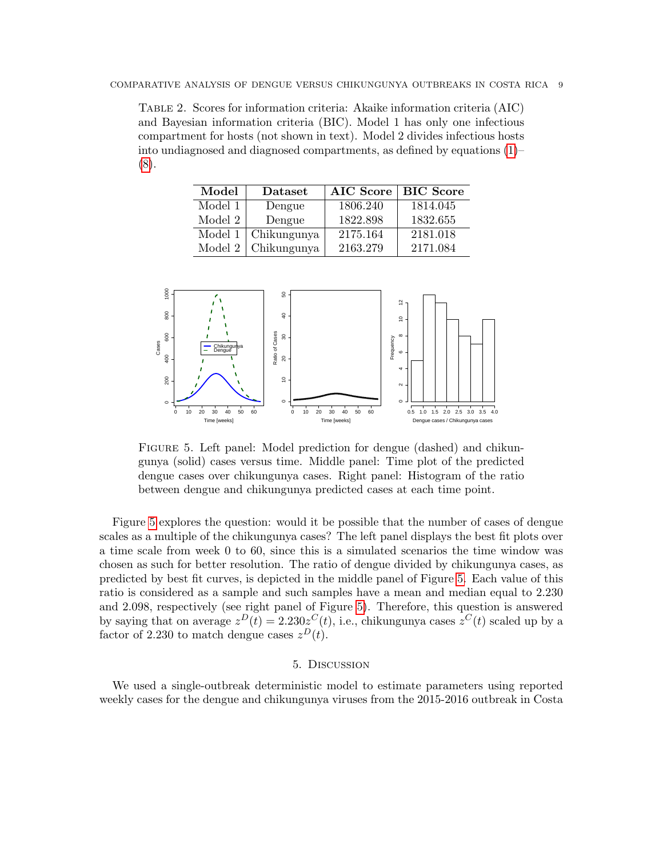<span id="page-8-0"></span>Table 2. Scores for information criteria: Akaike information criteria (AIC) and Bayesian information criteria (BIC). Model 1 has only one infectious compartment for hosts (not shown in text). Model 2 divides infectious hosts into undiagnosed and diagnosed compartments, as defined by equations  $(1)$ [\(8\)](#page-2-0).

| Model                       | Dataset                    | AIC Score   BIC Score |          |
|-----------------------------|----------------------------|-----------------------|----------|
| Model 1                     | Dengue                     | 1806.240              | 1814.045 |
| Model 2                     | Dengue                     | 1822.898              | 1832.655 |
| $\overline{\text{Model}}$ 1 | Chikungunya                | 2175.164              | 2181.018 |
|                             | Model $2 \mid$ Chikungunya | 2163.279              | 2171.084 |



<span id="page-8-1"></span>Figure 5. Left panel: Model prediction for dengue (dashed) and chikungunya (solid) cases versus time. Middle panel: Time plot of the predicted dengue cases over chikungunya cases. Right panel: Histogram of the ratio between dengue and chikungunya predicted cases at each time point.

Figure [5](#page-8-1) explores the question: would it be possible that the number of cases of dengue scales as a multiple of the chikungunya cases? The left panel displays the best fit plots over a time scale from week 0 to 60, since this is a simulated scenarios the time window was chosen as such for better resolution. The ratio of dengue divided by chikungunya cases, as predicted by best fit curves, is depicted in the middle panel of Figure [5.](#page-8-1) Each value of this ratio is considered as a sample and such samples have a mean and median equal to 2.230 and 2.098, respectively (see right panel of Figure [5\)](#page-8-1). Therefore, this question is answered by saying that on average  $z^D(t) = 2.230z^C(t)$ , i.e., chikungunya cases  $z^C(t)$  scaled up by a factor of 2.230 to match dengue cases  $z^D(t)$ .

# 5. Discussion

We used a single-outbreak deterministic model to estimate parameters using reported weekly cases for the dengue and chikungunya viruses from the 2015-2016 outbreak in Costa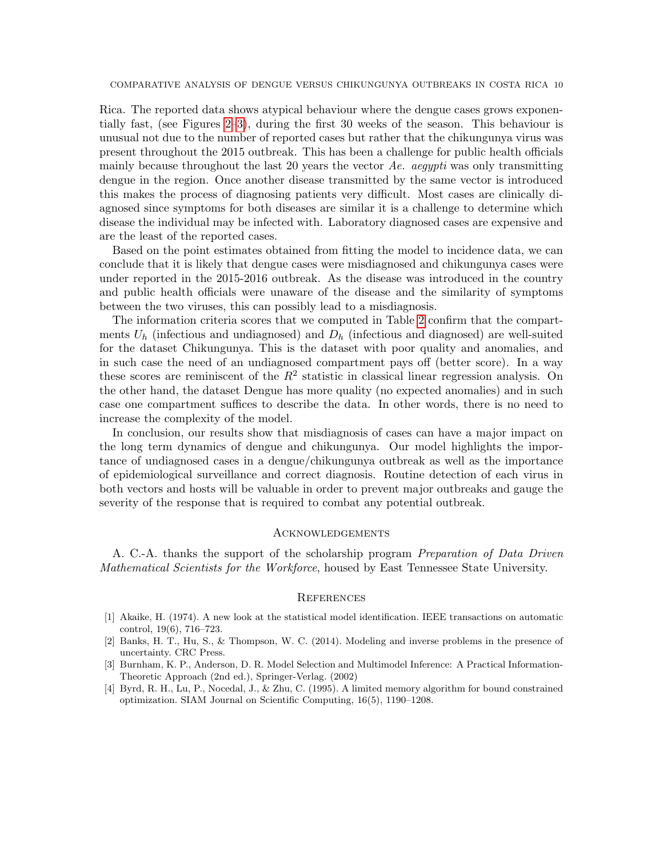Rica. The reported data shows atypical behaviour where the dengue cases grows exponentially fast, (see Figures [2–](#page-3-0)[3\)](#page-4-0), during the first 30 weeks of the season. This behaviour is unusual not due to the number of reported cases but rather that the chikungunya virus was present throughout the 2015 outbreak. This has been a challenge for public health officials mainly because throughout the last 20 years the vector  $Ae$ . aegypti was only transmitting dengue in the region. Once another disease transmitted by the same vector is introduced this makes the process of diagnosing patients very difficult. Most cases are clinically diagnosed since symptoms for both diseases are similar it is a challenge to determine which disease the individual may be infected with. Laboratory diagnosed cases are expensive and are the least of the reported cases.

Based on the point estimates obtained from fitting the model to incidence data, we can conclude that it is likely that dengue cases were misdiagnosed and chikungunya cases were under reported in the 2015-2016 outbreak. As the disease was introduced in the country and public health officials were unaware of the disease and the similarity of symptoms between the two viruses, this can possibly lead to a misdiagnosis.

The information criteria scores that we computed in Table [2](#page-8-0) confirm that the compartments  $U_h$  (infectious and undiagnosed) and  $D_h$  (infectious and diagnosed) are well-suited for the dataset Chikungunya. This is the dataset with poor quality and anomalies, and in such case the need of an undiagnosed compartment pays off (better score). In a way these scores are reminiscent of the  $R^2$  statistic in classical linear regression analysis. On the other hand, the dataset Dengue has more quality (no expected anomalies) and in such case one compartment suffices to describe the data. In other words, there is no need to increase the complexity of the model.

In conclusion, our results show that misdiagnosis of cases can have a major impact on the long term dynamics of dengue and chikungunya. Our model highlights the importance of undiagnosed cases in a dengue/chikungunya outbreak as well as the importance of epidemiological surveillance and correct diagnosis. Routine detection of each virus in both vectors and hosts will be valuable in order to prevent major outbreaks and gauge the severity of the response that is required to combat any potential outbreak.

## **ACKNOWLEDGEMENTS**

A. C.-A. thanks the support of the scholarship program *Preparation of Data Driven* Mathematical Scientists for the Workforce, housed by East Tennessee State University.

#### **REFERENCES**

- <span id="page-9-2"></span>[1] Akaike, H. (1974). A new look at the statistical model identification. IEEE transactions on automatic control, 19(6), 716–723.
- <span id="page-9-0"></span>[2] Banks, H. T., Hu, S., & Thompson, W. C. (2014). Modeling and inverse problems in the presence of uncertainty. CRC Press.
- <span id="page-9-3"></span>[3] Burnham, K. P., Anderson, D. R. Model Selection and Multimodel Inference: A Practical Information-Theoretic Approach (2nd ed.), Springer-Verlag. (2002)
- <span id="page-9-1"></span>[4] Byrd, R. H., Lu, P., Nocedal, J., & Zhu, C. (1995). A limited memory algorithm for bound constrained optimization. SIAM Journal on Scientific Computing, 16(5), 1190–1208.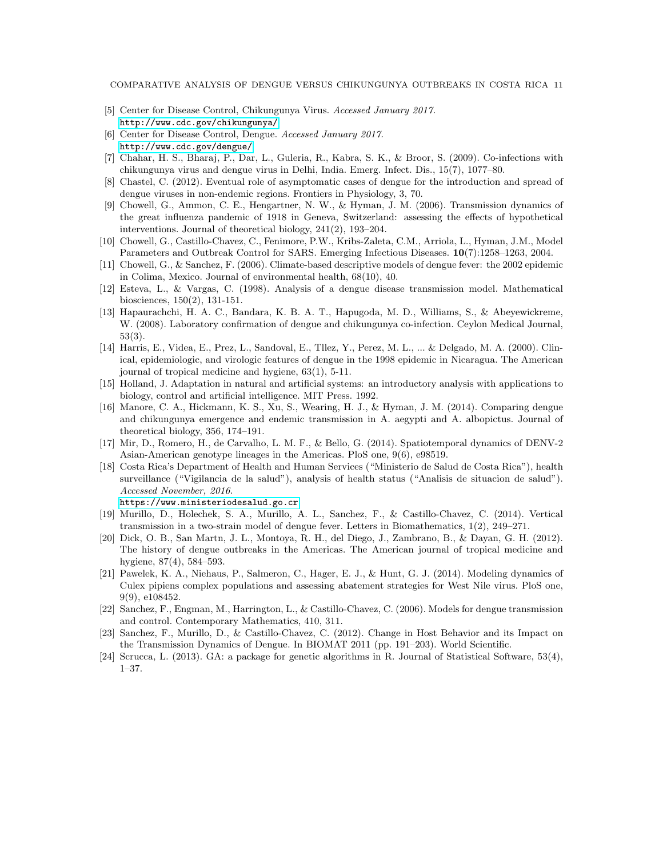- <span id="page-10-3"></span>[5] Center for Disease Control, Chikungunya Virus. Accessed January 2017. <http://www.cdc.gov/chikungunya/>
- <span id="page-10-0"></span>[6] Center for Disease Control, Dengue. Accessed January 2017. <http://www.cdc.gov/dengue/>
- <span id="page-10-5"></span>[7] Chahar, H. S., Bharaj, P., Dar, L., Guleria, R., Kabra, S. K., & Broor, S. (2009). Co-infections with chikungunya virus and dengue virus in Delhi, India. Emerg. Infect. Dis., 15(7), 1077–80.
- <span id="page-10-18"></span>[8] Chastel, C. (2012). Eventual role of asymptomatic cases of dengue for the introduction and spread of dengue viruses in non-endemic regions. Frontiers in Physiology, 3, 70.
- <span id="page-10-12"></span>[9] Chowell, G., Ammon, C. E., Hengartner, N. W., & Hyman, J. M. (2006). Transmission dynamics of the great influenza pandemic of 1918 in Geneva, Switzerland: assessing the effects of hypothetical interventions. Journal of theoretical biology, 241(2), 193–204.
- <span id="page-10-13"></span>[10] Chowell, G., Castillo-Chavez, C., Fenimore, P.W., Kribs-Zaleta, C.M., Arriola, L., Hyman, J.M., Model Parameters and Outbreak Control for SARS. Emerging Infectious Diseases. 10(7):1258–1263, 2004.
- <span id="page-10-14"></span>[11] Chowell, G., & Sanchez, F. (2006). Climate-based descriptive models of dengue fever: the 2002 epidemic in Colima, Mexico. Journal of environmental health, 68(10), 40.
- <span id="page-10-7"></span>[12] Esteva, L., & Vargas, C. (1998). Analysis of a dengue disease transmission model. Mathematical biosciences, 150(2), 131-151.
- <span id="page-10-6"></span>[13] Hapaurachchi, H. A. C., Bandara, K. B. A. T., Hapugoda, M. D., Williams, S., & Abeyewickreme, W. (2008). Laboratory confirmation of dengue and chikungunya co-infection. Ceylon Medical Journal, 53(3).
- <span id="page-10-1"></span>[14] Harris, E., Videa, E., Prez, L., Sandoval, E., Tllez, Y., Perez, M. L., ... & Delgado, M. A. (2000). Clinical, epidemiologic, and virologic features of dengue in the 1998 epidemic in Nicaragua. The American journal of tropical medicine and hygiene, 63(1), 5-11.
- <span id="page-10-15"></span>[15] Holland, J. Adaptation in natural and artificial systems: an introductory analysis with applications to biology, control and artificial intelligence. MIT Press. 1992.
- <span id="page-10-17"></span>[16] Manore, C. A., Hickmann, K. S., Xu, S., Wearing, H. J., & Hyman, J. M. (2014). Comparing dengue and chikungunya emergence and endemic transmission in A. aegypti and A. albopictus. Journal of theoretical biology, 356, 174–191.
- <span id="page-10-2"></span>[17] Mir, D., Romero, H., de Carvalho, L. M. F., & Bello, G. (2014). Spatiotemporal dynamics of DENV-2 Asian-American genotype lineages in the Americas. PloS one, 9(6), e98519.
- <span id="page-10-4"></span>[18] Costa Rica's Department of Health and Human Services ("Ministerio de Salud de Costa Rica"), health surveillance ("Vigilancia de la salud"), analysis of health status ("Analisis de situacion de salud"). Accessed November, 2016.

<https://www.ministeriodesalud.go.cr>

- <span id="page-10-9"></span>[19] Murillo, D., Holechek, S. A., Murillo, A. L., Sanchez, F., & Castillo-Chavez, C. (2014). Vertical transmission in a two-strain model of dengue fever. Letters in Biomathematics, 1(2), 249–271.
- [20] Dick, O. B., San Martn, J. L., Montoya, R. H., del Diego, J., Zambrano, B., & Dayan, G. H. (2012). The history of dengue outbreaks in the Americas. The American journal of tropical medicine and hygiene, 87(4), 584–593.
- <span id="page-10-8"></span>[21] Pawelek, K. A., Niehaus, P., Salmeron, C., Hager, E. J., & Hunt, G. J. (2014). Modeling dynamics of Culex pipiens complex populations and assessing abatement strategies for West Nile virus. PloS one, 9(9), e108452.
- <span id="page-10-10"></span>[22] Sanchez, F., Engman, M., Harrington, L., & Castillo-Chavez, C. (2006). Models for dengue transmission and control. Contemporary Mathematics, 410, 311.
- <span id="page-10-11"></span>[23] Sanchez, F., Murillo, D., & Castillo-Chavez, C. (2012). Change in Host Behavior and its Impact on the Transmission Dynamics of Dengue. In BIOMAT 2011 (pp. 191–203). World Scientific.
- <span id="page-10-16"></span>[24] Scrucca, L. (2013). GA: a package for genetic algorithms in R. Journal of Statistical Software, 53(4), 1–37.